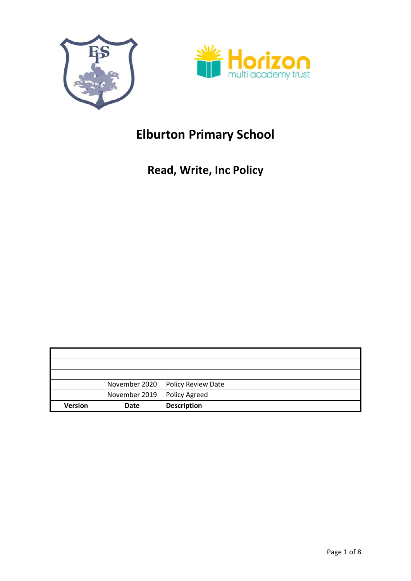



# **Elburton Primary School**

# **Read, Write, Inc Policy**

|                | November 2020 | Policy Review Date |
|----------------|---------------|--------------------|
|                | November 2019 | Policy Agreed      |
| <b>Version</b> | Date          | <b>Description</b> |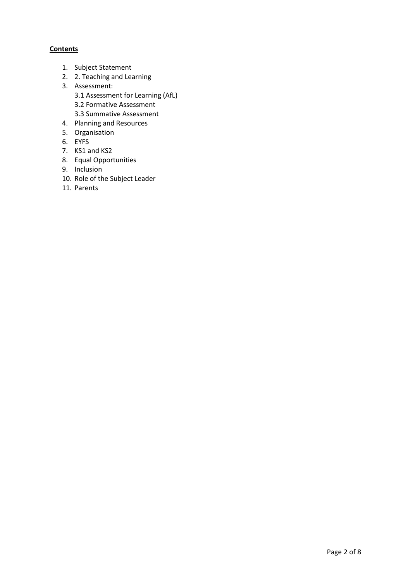# **Contents**

- 1. Subject Statement
- 2. 2. Teaching and Learning
- 3. Assessment:
	- 3.1 Assessment for Learning (AfL)
	- 3.2 Formative Assessment
	- 3.3 Summative Assessment
- 4. Planning and Resources
- 5. Organisation
- 6. EYFS
- 7. KS1 and KS2
- 8. Equal Opportunities
- 9. Inclusion
- 10. Role of the Subject Leader
- 11. Parents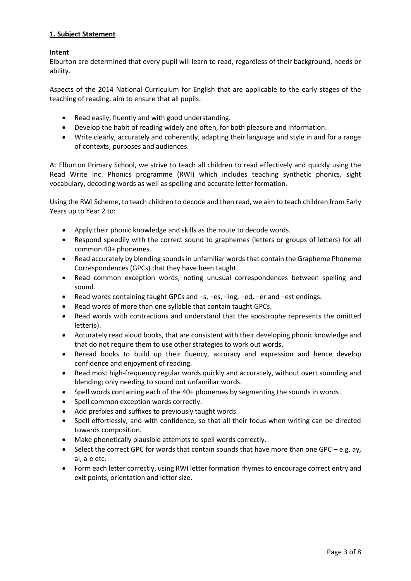# **1. Subject Statement**

# **Intent**

Elburton are determined that every pupil will learn to read, regardless of their background, needs or ability.

Aspects of the 2014 National Curriculum for English that are applicable to the early stages of the teaching of reading, aim to ensure that all pupils:

- Read easily, fluently and with good understanding.
- Develop the habit of reading widely and often, for both pleasure and information.
- Write clearly, accurately and coherently, adapting their language and style in and for a range of contexts, purposes and audiences.

At Elburton Primary School, we strive to teach all children to read effectively and quickly using the Read Write Inc. Phonics programme (RWI) which includes teaching synthetic phonics, sight vocabulary, decoding words as well as spelling and accurate letter formation.

Using the RWI Scheme, to teach children to decode and then read, we aim to teach children from Early Years up to Year 2 to:

- Apply their phonic knowledge and skills as the route to decode words.
- Respond speedily with the correct sound to graphemes (letters or groups of letters) for all common 40+ phonemes.
- Read accurately by blending sounds in unfamiliar words that contain the Grapheme Phoneme Correspondences (GPCs) that they have been taught.
- Read common exception words, noting unusual correspondences between spelling and sound.
- Read words containing taught GPCs and –s, –es, –ing, –ed, –er and –est endings.
- Read words of more than one syllable that contain taught GPCs.
- Read words with contractions and understand that the apostrophe represents the omitted letter(s).
- Accurately read aloud books, that are consistent with their developing phonic knowledge and that do not require them to use other strategies to work out words.
- Reread books to build up their fluency, accuracy and expression and hence develop confidence and enjoyment of reading.
- Read most high-frequency regular words quickly and accurately, without overt sounding and blending; only needing to sound out unfamiliar words.
- Spell words containing each of the 40+ phonemes by segmenting the sounds in words.
- Spell common exception words correctly.
- Add prefixes and suffixes to previously taught words.
- Spell effortlessly, and with confidence, so that all their focus when writing can be directed towards composition.
- Make phonetically plausible attempts to spell words correctly.
- $\bullet$  Select the correct GPC for words that contain sounds that have more than one GPC e.g. ay, ai, a-e etc.
- Form each letter correctly, using RWI letter formation rhymes to encourage correct entry and exit points, orientation and letter size.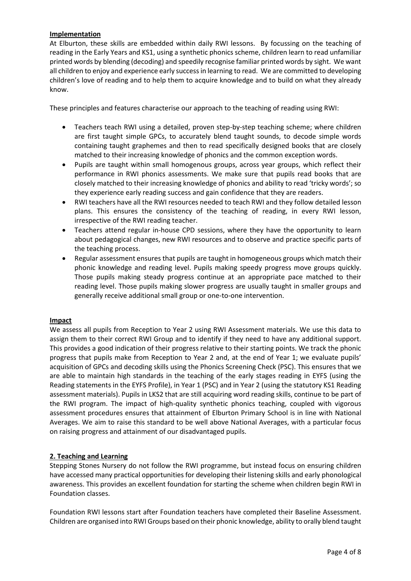# **Implementation**

At Elburton, these skills are embedded within daily RWI lessons. By focussing on the teaching of reading in the Early Years and KS1, using a synthetic phonics scheme, children learn to read unfamiliar printed words by blending (decoding) and speedily recognise familiar printed words by sight. We want all children to enjoy and experience early success in learning to read. We are committed to developing children's love of reading and to help them to acquire knowledge and to build on what they already know.

These principles and features characterise our approach to the teaching of reading using RWI:

- Teachers teach RWI using a detailed, proven step-by-step teaching scheme; where children are first taught simple GPCs, to accurately blend taught sounds, to decode simple words containing taught graphemes and then to read specifically designed books that are closely matched to their increasing knowledge of phonics and the common exception words.
- Pupils are taught within small homogenous groups, across year groups, which reflect their performance in RWI phonics assessments. We make sure that pupils read books that are closely matched to their increasing knowledge of phonics and ability to read 'tricky words'; so they experience early reading success and gain confidence that they are readers.
- RWI teachers have all the RWI resources needed to teach RWI and they follow detailed lesson plans. This ensures the consistency of the teaching of reading, in every RWI lesson, irrespective of the RWI reading teacher.
- Teachers attend regular in-house CPD sessions, where they have the opportunity to learn about pedagogical changes, new RWI resources and to observe and practice specific parts of the teaching process.
- Regular assessment ensures that pupils are taught in homogeneous groups which match their phonic knowledge and reading level. Pupils making speedy progress move groups quickly. Those pupils making steady progress continue at an appropriate pace matched to their reading level. Those pupils making slower progress are usually taught in smaller groups and generally receive additional small group or one-to-one intervention.

#### **Impact**

We assess all pupils from Reception to Year 2 using RWI Assessment materials. We use this data to assign them to their correct RWI Group and to identify if they need to have any additional support. This provides a good indication of their progress relative to their starting points. We track the phonic progress that pupils make from Reception to Year 2 and, at the end of Year 1; we evaluate pupils' acquisition of GPCs and decoding skills using the Phonics Screening Check (PSC). This ensures that we are able to maintain high standards in the teaching of the early stages reading in EYFS (using the Reading statements in the EYFS Profile), in Year 1 (PSC) and in Year 2 (using the statutory KS1 Reading assessment materials). Pupils in LKS2 that are still acquiring word reading skills, continue to be part of the RWI program. The impact of high-quality synthetic phonics teaching, coupled with vigorous assessment procedures ensures that attainment of Elburton Primary School is in line with National Averages. We aim to raise this standard to be well above National Averages, with a particular focus on raising progress and attainment of our disadvantaged pupils.

# **2. Teaching and Learning**

Stepping Stones Nursery do not follow the RWI programme, but instead focus on ensuring children have accessed many practical opportunities for developing their listening skills and early phonological awareness. This provides an excellent foundation for starting the scheme when children begin RWI in Foundation classes.

Foundation RWI lessons start after Foundation teachers have completed their Baseline Assessment. Children are organised into RWI Groups based on their phonic knowledge, ability to orally blend taught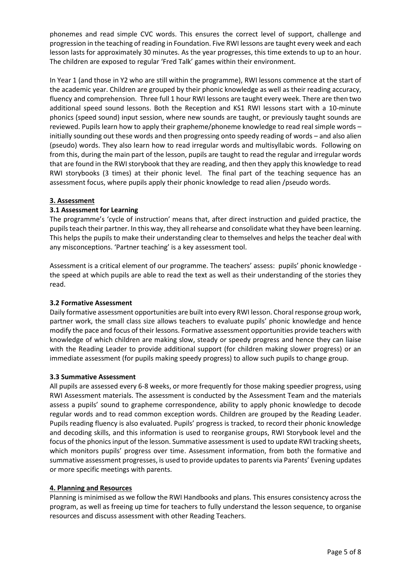phonemes and read simple CVC words. This ensures the correct level of support, challenge and progression in the teaching of reading in Foundation. Five RWI lessons are taught every week and each lesson lasts for approximately 30 minutes. As the year progresses, this time extends to up to an hour. The children are exposed to regular 'Fred Talk' games within their environment.

In Year 1 (and those in Y2 who are still within the programme), RWI lessons commence at the start of the academic year. Children are grouped by their phonic knowledge as well as their reading accuracy, fluency and comprehension. Three full 1 hour RWI lessons are taught every week. There are then two additional speed sound lessons. Both the Reception and KS1 RWI lessons start with a 10-minute phonics (speed sound) input session, where new sounds are taught, or previously taught sounds are reviewed. Pupils learn how to apply their grapheme/phoneme knowledge to read real simple words – initially sounding out these words and then progressing onto speedy reading of words – and also alien (pseudo) words. They also learn how to read irregular words and multisyllabic words. Following on from this, during the main part of the lesson, pupils are taught to read the regular and irregular words that are found in the RWI storybook that they are reading, and then they apply this knowledge to read RWI storybooks (3 times) at their phonic level. The final part of the teaching sequence has an assessment focus, where pupils apply their phonic knowledge to read alien /pseudo words.

# **3. Assessment**

# **3.1 Assessment for Learning**

The programme's 'cycle of instruction' means that, after direct instruction and guided practice, the pupils teach their partner. In this way, they all rehearse and consolidate what they have been learning. This helps the pupils to make their understanding clear to themselves and helps the teacher deal with any misconceptions. 'Partner teaching' is a key assessment tool.

Assessment is a critical element of our programme. The teachers' assess: pupils' phonic knowledge the speed at which pupils are able to read the text as well as their understanding of the stories they read.

#### **3.2 Formative Assessment**

Daily formative assessment opportunities are built into every RWI lesson. Choral response group work, partner work, the small class size allows teachers to evaluate pupils' phonic knowledge and hence modify the pace and focus of their lessons. Formative assessment opportunities provide teachers with knowledge of which children are making slow, steady or speedy progress and hence they can liaise with the Reading Leader to provide additional support (for children making slower progress) or an immediate assessment (for pupils making speedy progress) to allow such pupils to change group.

#### **3.3 Summative Assessment**

All pupils are assessed every 6-8 weeks, or more frequently for those making speedier progress, using RWI Assessment materials. The assessment is conducted by the Assessment Team and the materials assess a pupils' sound to grapheme correspondence, ability to apply phonic knowledge to decode regular words and to read common exception words. Children are grouped by the Reading Leader. Pupils reading fluency is also evaluated. Pupils' progress is tracked, to record their phonic knowledge and decoding skills, and this information is used to reorganise groups, RWI Storybook level and the focus of the phonics input of the lesson. Summative assessment is used to update RWI tracking sheets, which monitors pupils' progress over time. Assessment information, from both the formative and summative assessment progresses, is used to provide updates to parents via Parents' Evening updates or more specific meetings with parents.

#### **4. Planning and Resources**

Planning is minimised as we follow the RWI Handbooks and plans. This ensures consistency across the program, as well as freeing up time for teachers to fully understand the lesson sequence, to organise resources and discuss assessment with other Reading Teachers.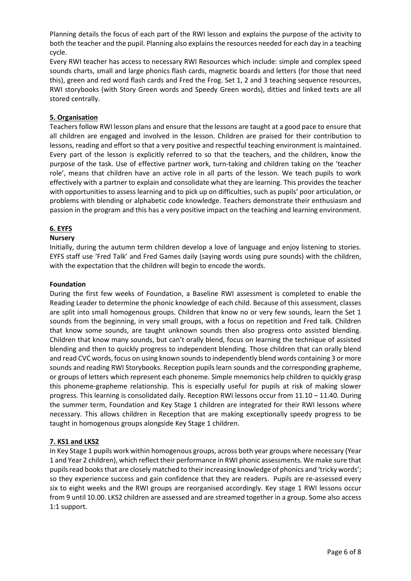Planning details the focus of each part of the RWI lesson and explains the purpose of the activity to both the teacher and the pupil. Planning also explains the resources needed for each day in a teaching cycle.

Every RWI teacher has access to necessary RWI Resources which include: simple and complex speed sounds charts, small and large phonics flash cards, magnetic boards and letters (for those that need this), green and red word flash cards and Fred the Frog. Set 1, 2 and 3 teaching sequence resources, RWI storybooks (with Story Green words and Speedy Green words), ditties and linked texts are all stored centrally.

### **5. Organisation**

Teachers follow RWI lesson plans and ensure that the lessons are taught at a good pace to ensure that all children are engaged and involved in the lesson. Children are praised for their contribution to lessons, reading and effort so that a very positive and respectful teaching environment is maintained. Every part of the lesson is explicitly referred to so that the teachers, and the children, know the purpose of the task. Use of effective partner work, turn-taking and children taking on the 'teacher role', means that children have an active role in all parts of the lesson. We teach pupils to work effectively with a partner to explain and consolidate what they are learning. This provides the teacher with opportunities to assess learning and to pick up on difficulties, such as pupils' poor articulation, or problems with blending or alphabetic code knowledge. Teachers demonstrate their enthusiasm and passion in the program and this has a very positive impact on the teaching and learning environment.

# **6. EYFS**

#### **Nursery**

Initially, during the autumn term children develop a love of language and enjoy listening to stories. EYFS staff use 'Fred Talk' and Fred Games daily (saying words using pure sounds) with the children, with the expectation that the children will begin to encode the words.

#### **Foundation**

During the first few weeks of Foundation, a Baseline RWI assessment is completed to enable the Reading Leader to determine the phonic knowledge of each child. Because of this assessment, classes are split into small homogenous groups. Children that know no or very few sounds, learn the Set 1 sounds from the beginning, in very small groups, with a focus on repetition and Fred talk. Children that know some sounds, are taught unknown sounds then also progress onto assisted blending. Children that know many sounds, but can't orally blend, focus on learning the technique of assisted blending and then to quickly progress to independent blending. Those children that can orally blend and read CVC words, focus on using known sounds to independently blend words containing 3 or more sounds and reading RWI Storybooks. Reception pupils learn sounds and the corresponding grapheme, or groups of letters which represent each phoneme. Simple mnemonics help children to quickly grasp this phoneme-grapheme relationship. This is especially useful for pupils at risk of making slower progress. This learning is consolidated daily. Reception RWI lessons occur from 11.10 – 11.40. During the summer term, Foundation and Key Stage 1 children are integrated for their RWI lessons where necessary. This allows children in Reception that are making exceptionally speedy progress to be taught in homogenous groups alongside Key Stage 1 children.

#### **7. KS1 and LKS2**

In Key Stage 1 pupils work within homogenous groups, across both year groups where necessary (Year 1 and Year 2 children), which reflect their performance in RWI phonic assessments. We make sure that pupils read books that are closely matched to their increasing knowledge of phonics and 'tricky words'; so they experience success and gain confidence that they are readers. Pupils are re-assessed every six to eight weeks and the RWI groups are reorganised accordingly. Key stage 1 RWI lessons occur from 9 until 10.00. LKS2 children are assessed and are streamed together in a group. Some also access 1:1 support.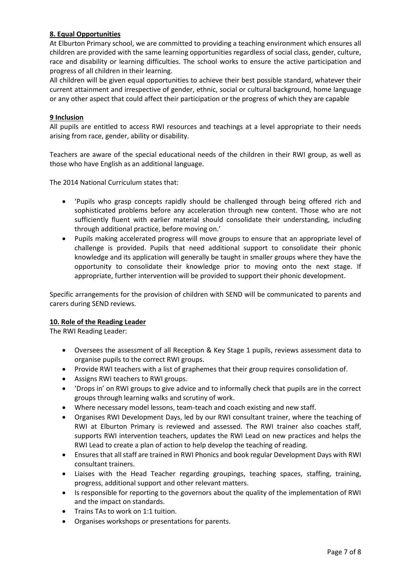# **8. Equal Opportunities**

At Elburton Primary school, we are committed to providing a teaching environment which ensures all children are provided with the same learning opportunities regardless of social class, gender, culture, race and disability or learning difficulties. The school works to ensure the active participation and progress of all children in their learning.

All children will be given equal opportunities to achieve their best possible standard, whatever their current attainment and irrespective of gender, ethnic, social or cultural background, home language or any other aspect that could affect their participation or the progress of which they are capable

# **9 Inclusion**

All pupils are entitled to access RWI resources and teachings at a level appropriate to their needs arising from race, gender, ability or disability.

Teachers are aware of the special educational needs of the children in their RWI group, as well as those who have English as an additional language.

The 2014 National Curriculum states that:

- 'Pupils who grasp concepts rapidly should be challenged through being offered rich and sophisticated problems before any acceleration through new content. Those who are not sufficiently fluent with earlier material should consolidate their understanding, including through additional practice, before moving on.'
- Pupils making accelerated progress will move groups to ensure that an appropriate level of challenge is provided. Pupils that need additional support to consolidate their phonic knowledge and its application will generally be taught in smaller groups where they have the opportunity to consolidate their knowledge prior to moving onto the next stage. If appropriate, further intervention will be provided to support their phonic development.

Specific arrangements for the provision of children with SEND will be communicated to parents and carers during SEND reviews.

#### **10. Role of the Reading Leader**

The RWI Reading Leader:

- Oversees the assessment of all Reception & Key Stage 1 pupils, reviews assessment data to organise pupils to the correct RWI groups.
- Provide RWI teachers with a list of graphemes that their group requires consolidation of.
- Assigns RWI teachers to RWI groups.
- 'Drops in' on RWI groups to give advice and to informally check that pupils are in the correct groups through learning walks and scrutiny of work.
- Where necessary model lessons, team-teach and coach existing and new staff.
- Organises RWI Development Days, led by our RWI consultant trainer, where the teaching of RWI at Elburton Primary is reviewed and assessed. The RWI trainer also coaches staff, supports RWI intervention teachers, updates the RWI Lead on new practices and helps the RWI Lead to create a plan of action to help develop the teaching of reading.
- Ensures that all staff are trained in RWI Phonics and book regular Development Days with RWI consultant trainers.
- Liaises with the Head Teacher regarding groupings, teaching spaces, staffing, training, progress, additional support and other relevant matters.
- Is responsible for reporting to the governors about the quality of the implementation of RWI and the impact on standards.
- Trains TAs to work on 1:1 tuition.
- Organises workshops or presentations for parents.